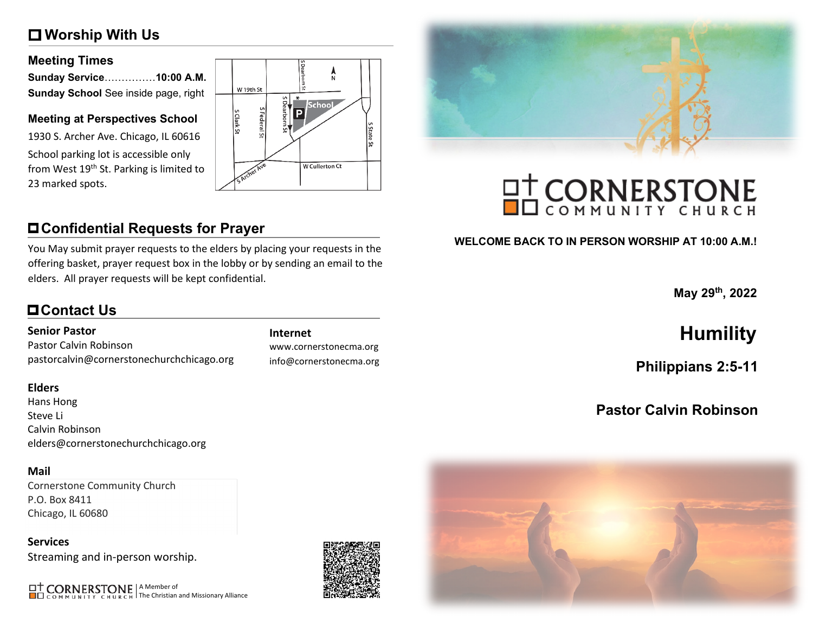# **Worship With Us**

### **Meeting Times**

| Sunday Service10:00 A.M.             |  |
|--------------------------------------|--|
| Sunday School See inside page, right |  |

### **Meeting at Perspectives School**

1930 S. Archer Ave. Chicago, IL 60616 School parking lot is accessible only from West 19<sup>th</sup> St. Parking is limited to 23 marked spots.



# **Confidential Requests for Prayer**

You May submit prayer requests to the elders by placing your requests in the offering basket, prayer request box in the lobby or by sending an email to the elders. All prayer requests will be kept confidential.

# **Contact Us**

### **Senior Pastor**

Pastor Calvin Robinson pastorcalvin@cornerstonechurchchicago.org

### **Elders**

Hans Hong Steve Li Calvin Robinson elders@cornerstonechurchchicago.org

### **Mail**

Cornerstone Community Church P.O. Box 8411 Chicago, IL 60680

**Services** Streaming and in-person worship.

A Member of The Christian and Missionary Alliance

www.cornerstonecma.org info@cornerstonecma.org



# **OT CORNERSTONE**

### **WELCOME BACK TO IN PERSON WORSHIP AT 10:00 A.M.!**

**May 29th, 2022**

# **Internet Humility**

**Philippians 2:5-11**

# **Pastor Calvin Robinson**